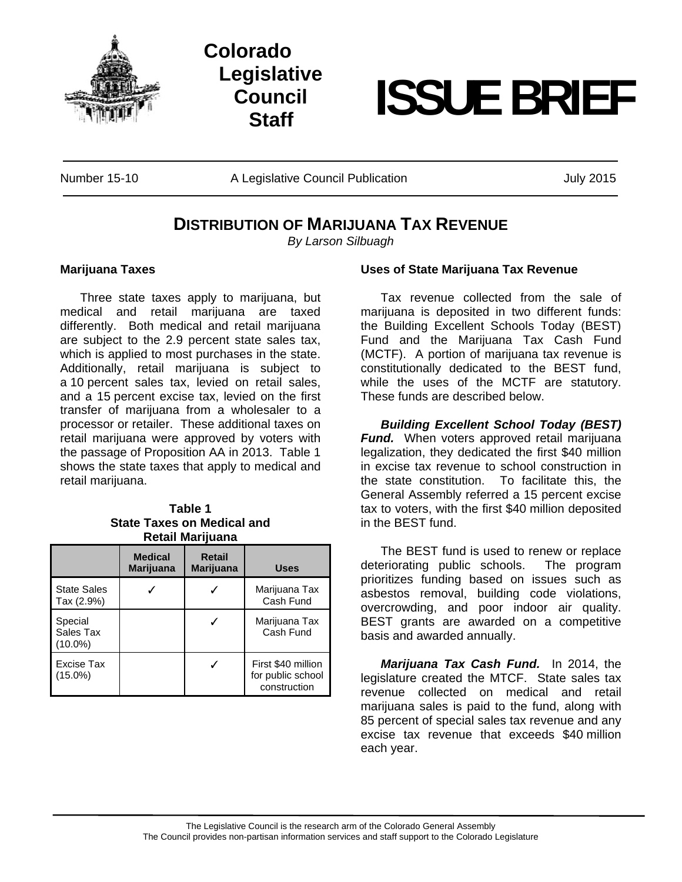

## **Colorado Legislative Council**

# **Staff ISSUE BRIEF**

Number 15-10 **A Legislative Council Publication** Munic And July 2015

### **DISTRIBUTION OF MARIJUANA TAX REVENUE**

*By Larson Silbuagh* 

#### **Marijuana Taxes**

 Three state taxes apply to marijuana, but medical and retail marijuana are taxed differently. Both medical and retail marijuana are subject to the 2.9 percent state sales tax, which is applied to most purchases in the state. Additionally, retail marijuana is subject to a 10 percent sales tax, levied on retail sales, and a 15 percent excise tax, levied on the first transfer of marijuana from a wholesaler to a processor or retailer. These additional taxes on retail marijuana were approved by voters with the passage of Proposition AA in 2013. Table 1 shows the state taxes that apply to medical and retail marijuana.

#### **Table 1 State Taxes on Medical and Retail Marijuana**

|                                    | <b>Medical</b><br><b>Marijuana</b> | <b>Retail</b><br><b>Marijuana</b> | <b>Uses</b>                                             |
|------------------------------------|------------------------------------|-----------------------------------|---------------------------------------------------------|
| <b>State Sales</b><br>Tax (2.9%)   |                                    |                                   | Marijuana Tax<br>Cash Fund                              |
| Special<br>Sales Tax<br>$(10.0\%)$ |                                    |                                   | Marijuana Tax<br>Cash Fund                              |
| Excise Tax<br>$(15.0\%)$           |                                    |                                   | First \$40 million<br>for public school<br>construction |

#### **Uses of State Marijuana Tax Revenue**

Tax revenue collected from the sale of marijuana is deposited in two different funds: the Building Excellent Schools Today (BEST) Fund and the Marijuana Tax Cash Fund (MCTF). A portion of marijuana tax revenue is constitutionally dedicated to the BEST fund, while the uses of the MCTF are statutory. These funds are described below.

*Building Excellent School Today (BEST) Fund.* When voters approved retail marijuana legalization, they dedicated the first \$40 million in excise tax revenue to school construction in the state constitution. To facilitate this, the General Assembly referred a 15 percent excise tax to voters, with the first \$40 million deposited in the BEST fund.

 The BEST fund is used to renew or replace deteriorating public schools. The program prioritizes funding based on issues such as asbestos removal, building code violations, overcrowding, and poor indoor air quality. BEST grants are awarded on a competitive basis and awarded annually.

*Marijuana Tax Cash Fund.* In 2014, the legislature created the MTCF. State sales tax revenue collected on medical and retail marijuana sales is paid to the fund, along with 85 percent of special sales tax revenue and any excise tax revenue that exceeds \$40 million each year.